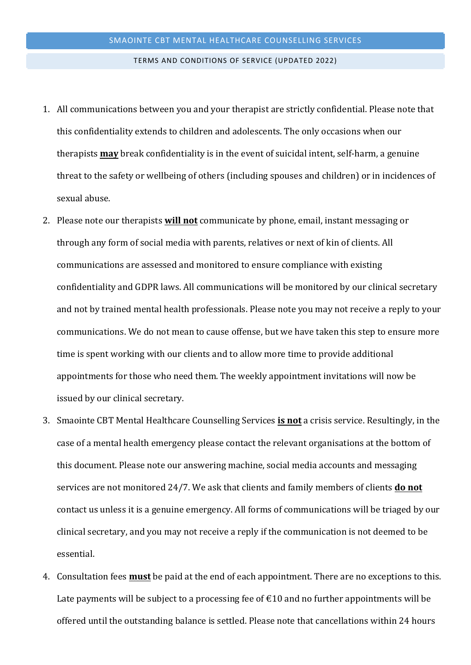## TERMS AND CONDITIONS OF SERVICE (UPDATED 2022)

- 1. All communications between you and your therapist are strictly confidential. Please note that this confidentiality extends to children and adolescents. The only occasions when our therapists **may** break confidentiality is in the event of suicidal intent, self-harm, a genuine threat to the safety or wellbeing of others (including spouses and children) or in incidences of sexual abuse.
- 2. Please note our therapists **will not** communicate by phone, email, instant messaging or through any form of social media with parents, relatives or next of kin of clients. All communications are assessed and monitored to ensure compliance with existing confidentiality and GDPR laws. All communications will be monitored by our clinical secretary and not by trained mental health professionals. Please note you may not receive a reply to your communications. We do not mean to cause offense, but we have taken this step to ensure more time is spent working with our clients and to allow more time to provide additional appointments for those who need them. The weekly appointment invitations will now be issued by our clinical secretary.
- 3. Smaointe CBT Mental Healthcare Counselling Services **is not** a crisis service. Resultingly, in the case of a mental health emergency please contact the relevant organisations at the bottom of this document. Please note our answering machine, social media accounts and messaging services are not monitored 24/7. We ask that clients and family members of clients **do not** contact us unless it is a genuine emergency. All forms of communications will be triaged by our clinical secretary, and you may not receive a reply if the communication is not deemed to be essential.
- 4. Consultation fees **must** be paid at the end of each appointment. There are no exceptions to this. Late payments will be subject to a processing fee of  $\epsilon$ 10 and no further appointments will be offered until the outstanding balance is settled. Please note that cancellations within 24 hours